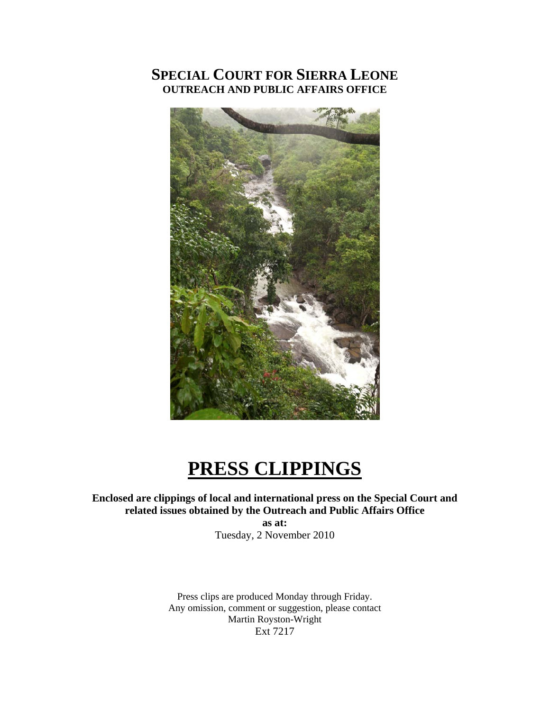# **SPECIAL COURT FOR SIERRA LEONE OUTREACH AND PUBLIC AFFAIRS OFFICE**



# **PRESS CLIPPINGS**

**Enclosed are clippings of local and international press on the Special Court and related issues obtained by the Outreach and Public Affairs Office** 

**as at:**  Tuesday, 2 November 2010

Press clips are produced Monday through Friday. Any omission, comment or suggestion, please contact Martin Royston-Wright Ext 7217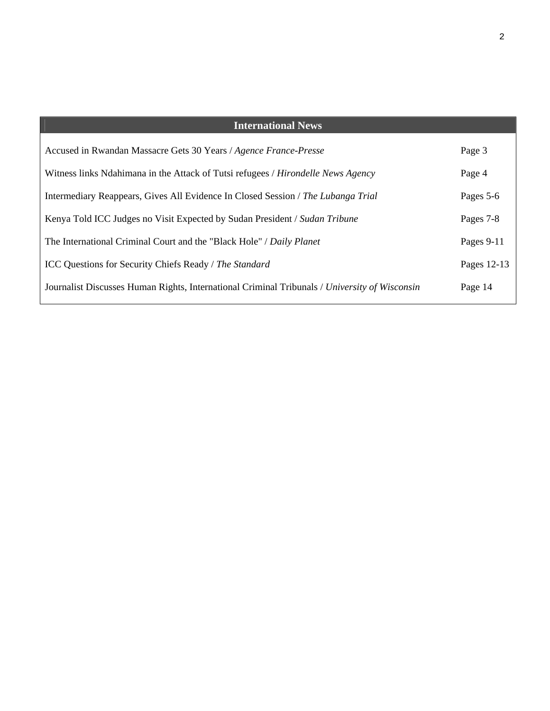| <b>International News</b>                                                                     |             |
|-----------------------------------------------------------------------------------------------|-------------|
| Accused in Rwandan Massacre Gets 30 Years / Agence France-Presse                              | Page 3      |
| Witness links Ndahimana in the Attack of Tutsi refugees / Hirondelle News Agency              | Page 4      |
| Intermediary Reappears, Gives All Evidence In Closed Session / The Lubanga Trial              | Pages 5-6   |
| Kenya Told ICC Judges no Visit Expected by Sudan President / Sudan Tribune                    | Pages 7-8   |
| The International Criminal Court and the "Black Hole" / Daily Planet                          | Pages 9-11  |
| ICC Questions for Security Chiefs Ready / The Standard                                        | Pages 12-13 |
| Journalist Discusses Human Rights, International Criminal Tribunals / University of Wisconsin | Page 14     |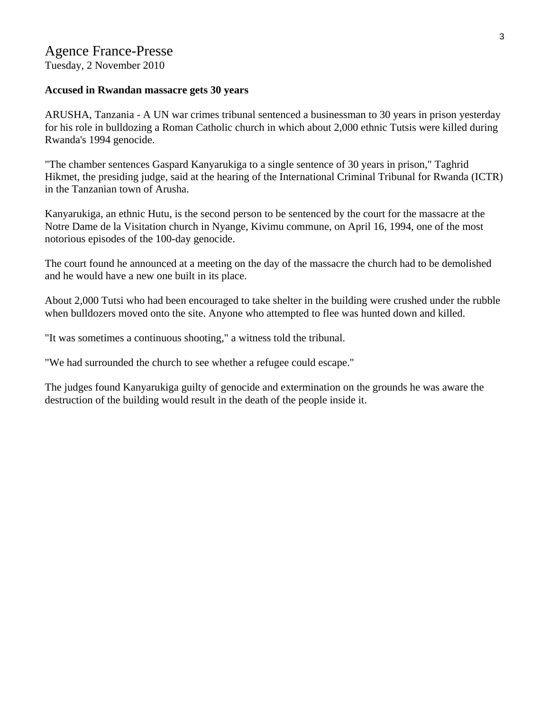# Agence France-Presse

Tuesday, 2 November 2010

### **Accused in Rwandan massacre gets 30 years**

ARUSHA, Tanzania - A UN war crimes tribunal sentenced a businessman to 30 years in prison yesterday for his role in bulldozing a Roman Catholic church in which about 2,000 ethnic Tutsis were killed during Rwanda's 1994 genocide.

"The chamber sentences Gaspard Kanyarukiga to a single sentence of 30 years in prison," Taghrid Hikmet, the presiding judge, said at the hearing of the International Criminal Tribunal for Rwanda (ICTR) in the Tanzanian town of Arusha.

Kanyarukiga, an ethnic Hutu, is the second person to be sentenced by the court for the massacre at the Notre Dame de la Visitation church in Nyange, Kivimu commune, on April 16, 1994, one of the most notorious episodes of the 100-day genocide.

The court found he announced at a meeting on the day of the massacre the church had to be demolished and he would have a new one built in its place.

About 2,000 Tutsi who had been encouraged to take shelter in the building were crushed under the rubble when bulldozers moved onto the site. Anyone who attempted to flee was hunted down and killed.

"It was sometimes a continuous shooting," a witness told the tribunal.

"We had surrounded the church to see whether a refugee could escape."

The judges found Kanyarukiga guilty of genocide and extermination on the grounds he was aware the destruction of the building would result in the death of the people inside it.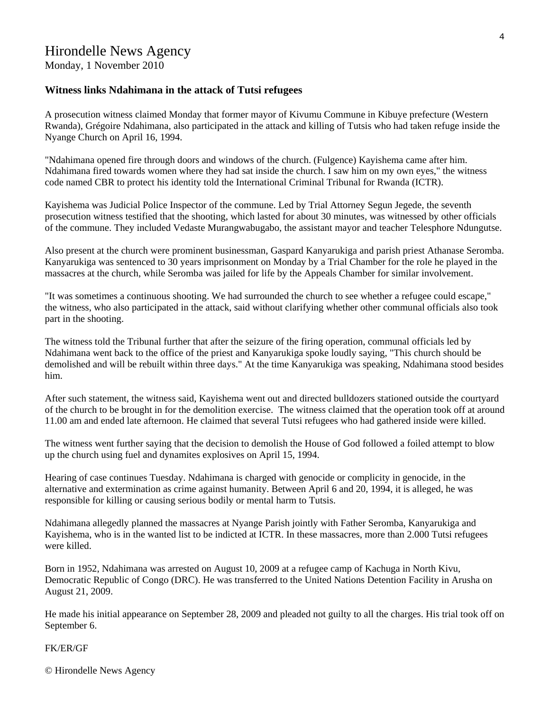Monday, 1 November 2010

### **Witness links Ndahimana in the attack of Tutsi refugees**

A prosecution witness claimed Monday that former mayor of Kivumu Commune in Kibuye prefecture (Western Rwanda), Grégoire Ndahimana, also participated in the attack and killing of Tutsis who had taken refuge inside the Nyange Church on April 16, 1994.

"Ndahimana opened fire through doors and windows of the church. (Fulgence) Kayishema came after him. Ndahimana fired towards women where they had sat inside the church. I saw him on my own eyes," the witness code named CBR to protect his identity told the International Criminal Tribunal for Rwanda (ICTR).

Kayishema was Judicial Police Inspector of the commune. Led by Trial Attorney Segun Jegede, the seventh prosecution witness testified that the shooting, which lasted for about 30 minutes, was witnessed by other officials of the commune. They included Vedaste Murangwabugabo, the assistant mayor and teacher Telesphore Ndungutse.

Also present at the church were prominent businessman, Gaspard Kanyarukiga and parish priest Athanase Seromba. Kanyarukiga was sentenced to 30 years imprisonment on Monday by a Trial Chamber for the role he played in the massacres at the church, while Seromba was jailed for life by the Appeals Chamber for similar involvement.

"It was sometimes a continuous shooting. We had surrounded the church to see whether a refugee could escape," the witness, who also participated in the attack, said without clarifying whether other communal officials also took part in the shooting.

The witness told the Tribunal further that after the seizure of the firing operation, communal officials led by Ndahimana went back to the office of the priest and Kanyarukiga spoke loudly saying, "This church should be demolished and will be rebuilt within three days." At the time Kanyarukiga was speaking, Ndahimana stood besides him.

After such statement, the witness said, Kayishema went out and directed bulldozers stationed outside the courtyard of the church to be brought in for the demolition exercise. The witness claimed that the operation took off at around 11.00 am and ended late afternoon. He claimed that several Tutsi refugees who had gathered inside were killed.

The witness went further saying that the decision to demolish the House of God followed a foiled attempt to blow up the church using fuel and dynamites explosives on April 15, 1994.

Hearing of case continues Tuesday. Ndahimana is charged with genocide or complicity in genocide, in the alternative and extermination as crime against humanity. Between April 6 and 20, 1994, it is alleged, he was responsible for killing or causing serious bodily or mental harm to Tutsis.

Ndahimana allegedly planned the massacres at Nyange Parish jointly with Father Seromba, Kanyarukiga and Kayishema, who is in the wanted list to be indicted at ICTR. In these massacres, more than 2.000 Tutsi refugees were killed.

Born in 1952, Ndahimana was arrested on August 10, 2009 at a refugee camp of Kachuga in North Kivu, Democratic Republic of Congo (DRC). He was transferred to the United Nations Detention Facility in Arusha on August 21, 2009.

He made his initial appearance on September 28, 2009 and pleaded not guilty to all the charges. His trial took off on September 6.

#### FK/ER/GF

© Hirondelle News Agency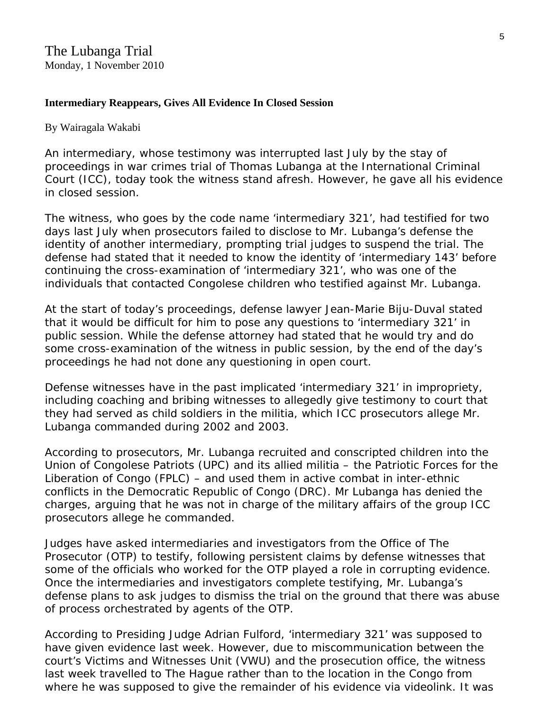# **Intermediary Reappears, Gives All Evidence In Closed Session**

By [Wairagala Wakabi](http://www.lubangatrial.org/contributors#11) 

An intermediary, whose testimony was interrupted last July by the stay of proceedings in war crimes trial of Thomas Lubanga at the International Criminal Court (ICC), today took the witness stand afresh. However, he gave all his evidence in closed session.

The witness, who goes by the code name 'intermediary 321', had testified for two days last July when prosecutors failed to disclose to Mr. Lubanga's defense the identity of another intermediary, prompting trial judges to suspend the trial. The defense had stated that it needed to know the identity of 'intermediary 143' before continuing the cross-examination of 'intermediary 321', who was one of the individuals that contacted Congolese children who testified against Mr. Lubanga.

At the start of today's proceedings, defense lawyer Jean-Marie Biju-Duval stated that it would be difficult for him to pose any questions to 'intermediary 321' in public session. While the defense attorney had stated that he would try and do some cross-examination of the witness in public session, by the end of the day's proceedings he had not done any questioning in open court.

Defense witnesses have in the past implicated 'intermediary 321' in impropriety, including coaching and bribing witnesses to allegedly give testimony to court that they had served as child soldiers in the militia, which ICC prosecutors allege Mr. Lubanga commanded during 2002 and 2003.

According to prosecutors, Mr. Lubanga recruited and conscripted children into the Union of Congolese Patriots (UPC) and its allied militia – the Patriotic Forces for the Liberation of Congo (FPLC) – and used them in active combat in inter-ethnic conflicts in the Democratic Republic of Congo (DRC). Mr Lubanga has denied the charges, arguing that he was not in charge of the military affairs of the group ICC prosecutors allege he commanded.

Judges have asked intermediaries and investigators from the Office of The Prosecutor (OTP) to testify, following persistent claims by defense witnesses that some of the officials who worked for the OTP played a role in corrupting evidence. Once the intermediaries and investigators complete testifying, Mr. Lubanga's defense plans to ask judges to dismiss the trial on the ground that there was abuse of process orchestrated by agents of the OTP.

According to Presiding Judge Adrian Fulford, 'intermediary 321' was supposed to have given evidence last week. However, due to miscommunication between the court's Victims and Witnesses Unit (VWU) and the prosecution office, the witness last week travelled to The Hague rather than to the location in the Congo from where he was supposed to give the remainder of his evidence via videolink. It was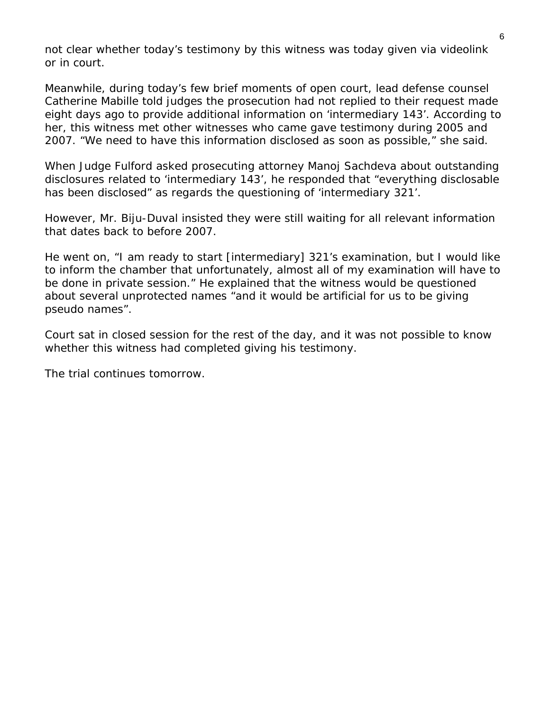not clear whether today's testimony by this witness was today given via videolink or in court.

Meanwhile, during today's few brief moments of open court, lead defense counsel Catherine Mabille told judges the prosecution had not replied to their request made eight days ago to provide additional information on 'intermediary 143'. According to her, this witness met other witnesses who came gave testimony during 2005 and 2007. "We need to have this information disclosed as soon as possible," she said.

When Judge Fulford asked prosecuting attorney Manoj Sachdeva about outstanding disclosures related to 'intermediary 143', he responded that "everything disclosable has been disclosed" as regards the questioning of 'intermediary 321'.

However, Mr. Biju-Duval insisted they were still waiting for all relevant information that dates back to before 2007.

He went on, "I am ready to start [intermediary] 321's examination, but I would like to inform the chamber that unfortunately, almost all of my examination will have to be done in private session." He explained that the witness would be questioned about several unprotected names "and it would be artificial for us to be giving pseudo names".

Court sat in closed session for the rest of the day, and it was not possible to know whether this witness had completed giving his testimony.

The trial continues tomorrow.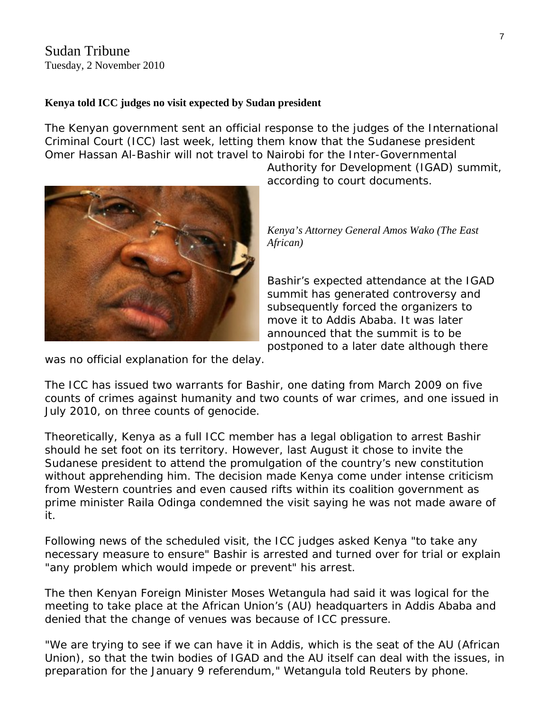# Sudan Tribune Tuesday, 2 November 2010

# **Kenya told ICC judges no visit expected by Sudan president**

The Kenyan government sent an official response to the judges of the International Criminal Court (ICC) last week, letting them know that the Sudanese president Omer Hassan Al-Bashir will not travel to Nairobi for the Inter-Governmental



Authority for Development (IGAD) summit, according to court documents.

*Kenya's Attorney General Amos Wako (The East African)* 

Bashir's expected attendance at the IGAD summit has generated controversy and subsequently forced the organizers to move it to Addis Ababa. It was later announced that the summit is to be postponed to a later date although there

was no official explanation for the delay.

The ICC has issued two warrants for Bashir, one dating from March 2009 on five counts of crimes against humanity and two counts of war crimes, and one issued in July 2010, on three counts of genocide.

Theoretically, Kenya as a full ICC member has a legal obligation to arrest Bashir should he set foot on its territory. However, last August it chose to invite the Sudanese president to attend the promulgation of the country's new constitution without apprehending him. The decision made Kenya come under intense criticism from Western countries and even caused rifts within its coalition government as prime minister Raila Odinga condemned the visit saying he was not made aware of it.

Following news of the scheduled visit, the ICC judges asked Kenya "to take any necessary measure to ensure" Bashir is arrested and turned over for trial or explain "any problem which would impede or prevent" his arrest.

The then Kenyan Foreign Minister Moses Wetangula had said it was logical for the meeting to take place at the African Union's (AU) headquarters in Addis Ababa and denied that the change of venues was because of ICC pressure.

"We are trying to see if we can have it in Addis, which is the seat of the AU (African Union), so that the twin bodies of IGAD and the AU itself can deal with the issues, in preparation for the January 9 referendum," Wetangula told Reuters by phone.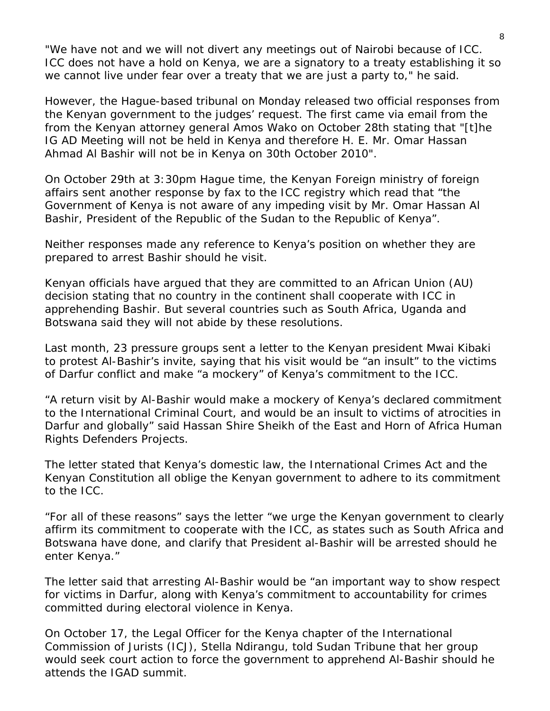"We have not and we will not divert any meetings out of Nairobi because of ICC. ICC does not have a hold on Kenya, we are a signatory to a treaty establishing it so we cannot live under fear over a treaty that we are just a party to," he said.

However, the Hague-based tribunal on Monday released two official responses from the Kenyan government to the judges' request. The first came via email from the from the Kenyan attorney general Amos Wako on October 28th stating that "[t]he IG AD Meeting will not be held in Kenya and therefore H. E. Mr. Omar Hassan Ahmad Al Bashir will not be in Kenya on 30th October 2010".

On October 29th at 3:30pm Hague time, the Kenyan Foreign ministry of foreign affairs sent another response by fax to the ICC registry which read that "the Government of Kenya is not aware of any impeding visit by Mr. Omar Hassan Al Bashir, President of the Republic of the Sudan to the Republic of Kenya".

Neither responses made any reference to Kenya's position on whether they are prepared to arrest Bashir should he visit.

Kenyan officials have argued that they are committed to an African Union (AU) decision stating that no country in the continent shall cooperate with ICC in apprehending Bashir. But several countries such as South Africa, Uganda and Botswana said they will not abide by these resolutions.

Last month, 23 pressure groups sent a letter to the Kenyan president Mwai Kibaki to protest Al-Bashir's invite, saying that his visit would be "an insult" to the victims of Darfur conflict and make "a mockery" of Kenya's commitment to the ICC.

"A return visit by Al-Bashir would make a mockery of Kenya's declared commitment to the International Criminal Court, and would be an insult to victims of atrocities in Darfur and globally" said Hassan Shire Sheikh of the East and Horn of Africa Human Rights Defenders Projects.

The letter stated that Kenya's domestic law, the International Crimes Act and the Kenyan Constitution all oblige the Kenyan government to adhere to its commitment to the ICC.

"For all of these reasons" says the letter "we urge the Kenyan government to clearly affirm its commitment to cooperate with the ICC, as states such as South Africa and Botswana have done, and clarify that President al-Bashir will be arrested should he enter Kenya."

The letter said that arresting Al-Bashir would be "an important way to show respect for victims in Darfur, along with Kenya's commitment to accountability for crimes committed during electoral violence in Kenya.

On October 17, the Legal Officer for the Kenya chapter of the International Commission of Jurists (ICJ), Stella Ndirangu, told Sudan Tribune that her group would seek court action to force the government to apprehend Al-Bashir should he attends the IGAD summit.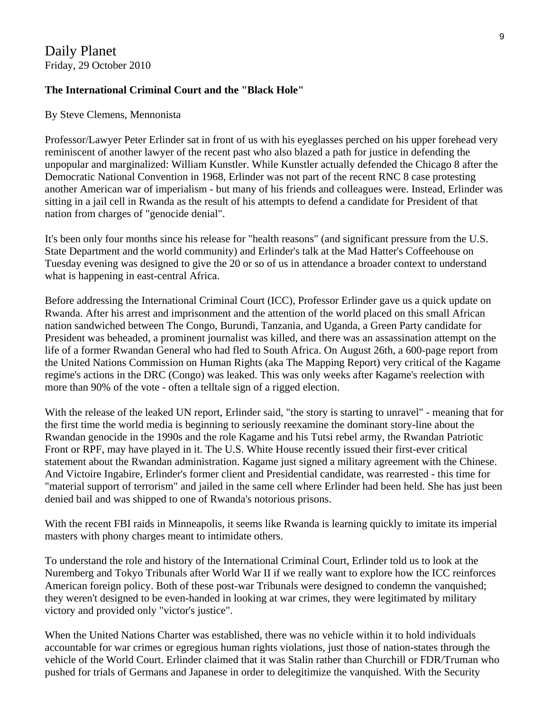# **The International Criminal Court and the "Black Hole"**

By Steve Clemens, Mennonista

Professor/Lawyer Peter Erlinder sat in front of us with his eyeglasses perched on his upper forehead very reminiscent of another lawyer of the recent past who also blazed a path for justice in defending the unpopular and marginalized: William Kunstler. While Kunstler actually defended the Chicago 8 after the Democratic National Convention in 1968, Erlinder was not part of the recent RNC 8 case protesting another American war of imperialism - but many of his friends and colleagues were. Instead, Erlinder was sitting in a jail cell in Rwanda as the result of his attempts to defend a candidate for President of that nation from charges of "genocide denial".

It's been only four months since his release for "health reasons" (and significant pressure from the U.S. State Department and the world community) and Erlinder's talk at the Mad Hatter's Coffeehouse on Tuesday evening was designed to give the 20 or so of us in attendance a broader context to understand what is happening in east-central Africa.

Before addressing the International Criminal Court (ICC), Professor Erlinder gave us a quick update on Rwanda. After his arrest and imprisonment and the attention of the world placed on this small African nation sandwiched between The Congo, Burundi, Tanzania, and Uganda, a Green Party candidate for President was beheaded, a prominent journalist was killed, and there was an assassination attempt on the life of a former Rwandan General who had fled to South Africa. On August 26th, a 600-page report from the United Nations Commission on Human Rights (aka The Mapping Report) very critical of the Kagame regime's actions in the DRC (Congo) was leaked. This was only weeks after Kagame's reelection with more than 90% of the vote - often a telltale sign of a rigged election.

With the release of the leaked UN report, Erlinder said, "the story is starting to unravel" - meaning that for the first time the world media is beginning to seriously reexamine the dominant story-line about the Rwandan genocide in the 1990s and the role Kagame and his Tutsi rebel army, the Rwandan Patriotic Front or RPF, may have played in it. The U.S. White House recently issued their first-ever critical statement about the Rwandan administration. Kagame just signed a military agreement with the Chinese. And Victoire Ingabire, Erlinder's former client and Presidential candidate, was rearrested - this time for "material support of terrorism" and jailed in the same cell where Erlinder had been held. She has just been denied bail and was shipped to one of Rwanda's notorious prisons.

With the recent FBI raids in Minneapolis, it seems like Rwanda is learning quickly to imitate its imperial masters with phony charges meant to intimidate others.

To understand the role and history of the International Criminal Court, Erlinder told us to look at the Nuremberg and Tokyo Tribunals after World War II if we really want to explore how the ICC reinforces American foreign policy. Both of these post-war Tribunals were designed to condemn the vanquished; they weren't designed to be even-handed in looking at war crimes, they were legitimated by military victory and provided only "victor's justice".

When the United Nations Charter was established, there was no vehicle within it to hold individuals accountable for war crimes or egregious human rights violations, just those of nation-states through the vehicle of the World Court. Erlinder claimed that it was Stalin rather than Churchill or FDR/Truman who pushed for trials of Germans and Japanese in order to delegitimize the vanquished. With the Security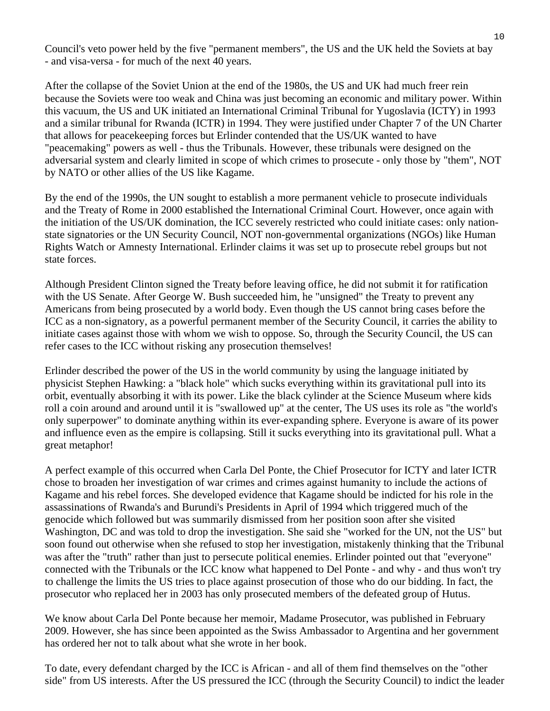Council's veto power held by the five "permanent members", the US and the UK held the Soviets at bay - and visa-versa - for much of the next 40 years.

After the collapse of the Soviet Union at the end of the 1980s, the US and UK had much freer rein because the Soviets were too weak and China was just becoming an economic and military power. Within this vacuum, the US and UK initiated an International Criminal Tribunal for Yugoslavia (ICTY) in 1993 and a similar tribunal for Rwanda (ICTR) in 1994. They were justified under Chapter 7 of the UN Charter that allows for peacekeeping forces but Erlinder contended that the US/UK wanted to have "peacemaking" powers as well - thus the Tribunals. However, these tribunals were designed on the adversarial system and clearly limited in scope of which crimes to prosecute - only those by "them", NOT by NATO or other allies of the US like Kagame.

By the end of the 1990s, the UN sought to establish a more permanent vehicle to prosecute individuals and the Treaty of Rome in 2000 established the International Criminal Court. However, once again with the initiation of the US/UK domination, the ICC severely restricted who could initiate cases: only nationstate signatories or the UN Security Council, NOT non-governmental organizations (NGOs) like Human Rights Watch or Amnesty International. Erlinder claims it was set up to prosecute rebel groups but not state forces.

Although President Clinton signed the Treaty before leaving office, he did not submit it for ratification with the US Senate. After George W. Bush succeeded him, he "unsigned" the Treaty to prevent any Americans from being prosecuted by a world body. Even though the US cannot bring cases before the ICC as a non-signatory, as a powerful permanent member of the Security Council, it carries the ability to initiate cases against those with whom we wish to oppose. So, through the Security Council, the US can refer cases to the ICC without risking any prosecution themselves!

Erlinder described the power of the US in the world community by using the language initiated by physicist Stephen Hawking: a "black hole" which sucks everything within its gravitational pull into its orbit, eventually absorbing it with its power. Like the black cylinder at the Science Museum where kids roll a coin around and around until it is "swallowed up" at the center, The US uses its role as "the world's only superpower" to dominate anything within its ever-expanding sphere. Everyone is aware of its power and influence even as the empire is collapsing. Still it sucks everything into its gravitational pull. What a great metaphor!

A perfect example of this occurred when Carla Del Ponte, the Chief Prosecutor for ICTY and later ICTR chose to broaden her investigation of war crimes and crimes against humanity to include the actions of Kagame and his rebel forces. She developed evidence that Kagame should be indicted for his role in the assassinations of Rwanda's and Burundi's Presidents in April of 1994 which triggered much of the genocide which followed but was summarily dismissed from her position soon after she visited Washington, DC and was told to drop the investigation. She said she "worked for the UN, not the US" but soon found out otherwise when she refused to stop her investigation, mistakenly thinking that the Tribunal was after the "truth" rather than just to persecute political enemies. Erlinder pointed out that "everyone" connected with the Tribunals or the ICC know what happened to Del Ponte - and why - and thus won't try to challenge the limits the US tries to place against prosecution of those who do our bidding. In fact, the prosecutor who replaced her in 2003 has only prosecuted members of the defeated group of Hutus.

We know about Carla Del Ponte because her memoir, Madame Prosecutor, was published in February 2009. However, she has since been appointed as the Swiss Ambassador to Argentina and her government has ordered her not to talk about what she wrote in her book.

To date, every defendant charged by the ICC is African - and all of them find themselves on the "other side" from US interests. After the US pressured the ICC (through the Security Council) to indict the leader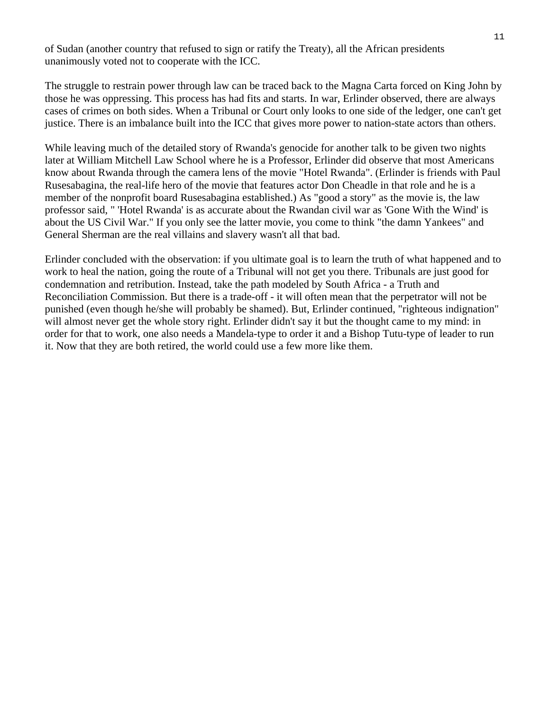of Sudan (another country that refused to sign or ratify the Treaty), all the African presidents unanimously voted not to cooperate with the ICC.

The struggle to restrain power through law can be traced back to the Magna Carta forced on King John by those he was oppressing. This process has had fits and starts. In war, Erlinder observed, there are always cases of crimes on both sides. When a Tribunal or Court only looks to one side of the ledger, one can't get justice. There is an imbalance built into the ICC that gives more power to nation-state actors than others.

While leaving much of the detailed story of Rwanda's genocide for another talk to be given two nights later at William Mitchell Law School where he is a Professor, Erlinder did observe that most Americans know about Rwanda through the camera lens of the movie "Hotel Rwanda". (Erlinder is friends with Paul Rusesabagina, the real-life hero of the movie that features actor Don Cheadle in that role and he is a member of the nonprofit board Rusesabagina established.) As "good a story" as the movie is, the law professor said, " 'Hotel Rwanda' is as accurate about the Rwandan civil war as 'Gone With the Wind' is about the US Civil War." If you only see the latter movie, you come to think "the damn Yankees" and General Sherman are the real villains and slavery wasn't all that bad.

Erlinder concluded with the observation: if you ultimate goal is to learn the truth of what happened and to work to heal the nation, going the route of a Tribunal will not get you there. Tribunals are just good for condemnation and retribution. Instead, take the path modeled by South Africa - a Truth and Reconciliation Commission. But there is a trade-off - it will often mean that the perpetrator will not be punished (even though he/she will probably be shamed). But, Erlinder continued, "righteous indignation" will almost never get the whole story right. Erlinder didn't say it but the thought came to my mind: in order for that to work, one also needs a Mandela-type to order it and a Bishop Tutu-type of leader to run it. Now that they are both retired, the world could use a few more like them.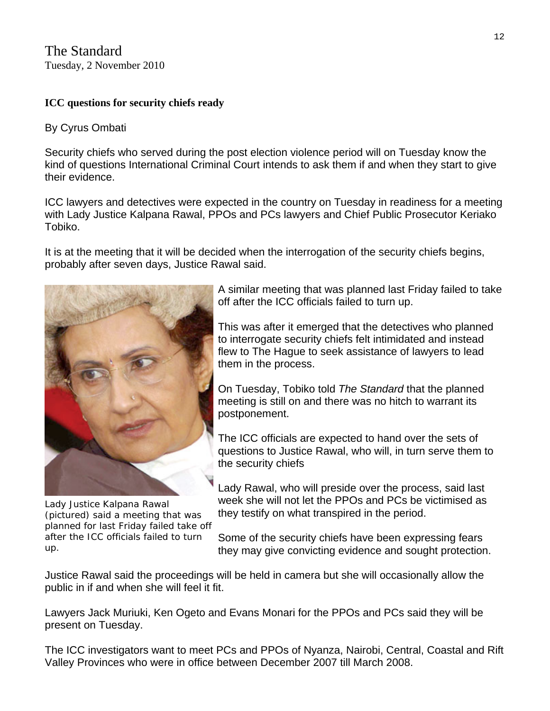The Standard Tuesday, 2 November 2010

# **ICC questions for security chiefs ready**

# By Cyrus Ombati

Security chiefs who served during the post election violence period will on Tuesday know the kind of questions International Criminal Court intends to ask them if and when they start to give their evidence.

ICC lawyers and detectives were expected in the country on Tuesday in readiness for a meeting with Lady Justice Kalpana Rawal, PPOs and PCs lawyers and Chief Public Prosecutor Keriako Tobiko.

It is at the meeting that it will be decided when the interrogation of the security chiefs begins, probably after seven days, Justice Rawal said.



*Lady Justice Kalpana Rawal (pictured) said a meeting that was planned for last Friday failed take off after the ICC officials failed to turn up.*

A similar meeting that was planned last Friday failed to take off after the ICC officials failed to turn up.

This was after it emerged that the detectives who planned to interrogate security chiefs felt intimidated and instead flew to The Hague to seek assistance of lawyers to lead them in the process.

On Tuesday, Tobiko told *The Standard* that the planned meeting is still on and there was no hitch to warrant its postponement.

The ICC officials are expected to hand over the sets of questions to Justice Rawal, who will, in turn serve them to the security chiefs

Lady Rawal, who will preside over the process, said last week she will not let the PPOs and PCs be victimised as they testify on what transpired in the period.

Some of the security chiefs have been expressing fears they may give convicting evidence and sought protection.

Justice Rawal said the proceedings will be held in camera but she will occasionally allow the public in if and when she will feel it fit.

Lawyers Jack Muriuki, Ken Ogeto and Evans Monari for the PPOs and PCs said they will be present on Tuesday.

The ICC investigators want to meet PCs and PPOs of Nyanza, Nairobi, Central, Coastal and Rift Valley Provinces who were in office between December 2007 till March 2008.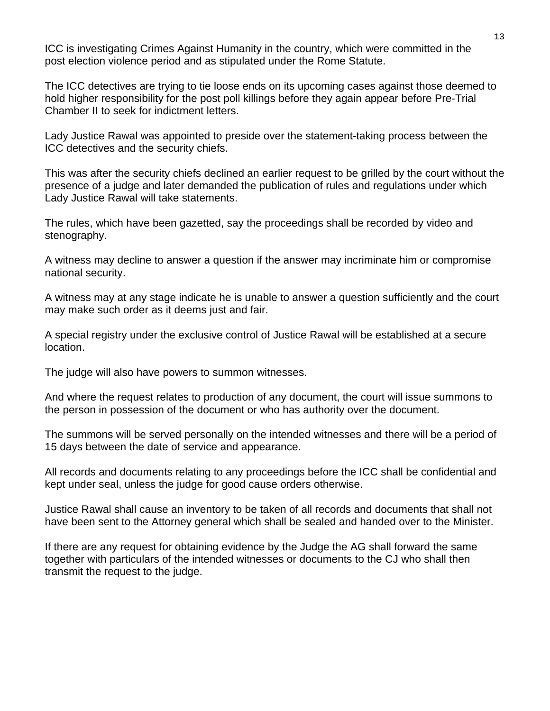ICC is investigating Crimes Against Humanity in the country, which were committed in the post election violence period and as stipulated under the Rome Statute.

The ICC detectives are trying to tie loose ends on its upcoming cases against those deemed to hold higher responsibility for the post poll killings before they again appear before Pre-Trial Chamber II to seek for indictment letters.

Lady Justice Rawal was appointed to preside over the statement-taking process between the ICC detectives and the security chiefs.

This was after the security chiefs declined an earlier request to be grilled by the court without the presence of a judge and later demanded the publication of rules and regulations under which Lady Justice Rawal will take statements.

The rules, which have been gazetted, say the proceedings shall be recorded by video and stenography.

A witness may decline to answer a question if the answer may incriminate him or compromise national security.

A witness may at any stage indicate he is unable to answer a question sufficiently and the court may make such order as it deems just and fair.

A special registry under the exclusive control of Justice Rawal will be established at a secure location.

The judge will also have powers to summon witnesses.

And where the request relates to production of any document, the court will issue summons to the person in possession of the document or who has authority over the document.

The summons will be served personally on the intended witnesses and there will be a period of 15 days between the date of service and appearance.

All records and documents relating to any proceedings before the ICC shall be confidential and kept under seal, unless the judge for good cause orders otherwise.

Justice Rawal shall cause an inventory to be taken of all records and documents that shall not have been sent to the Attorney general which shall be sealed and handed over to the Minister.

If there are any request for obtaining evidence by the Judge the AG shall forward the same together with particulars of the intended witnesses or documents to the CJ who shall then transmit the request to the judge.